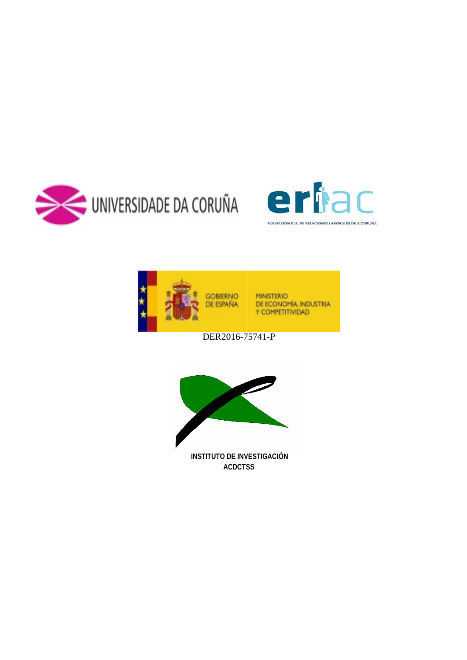





DER2016-75741-P

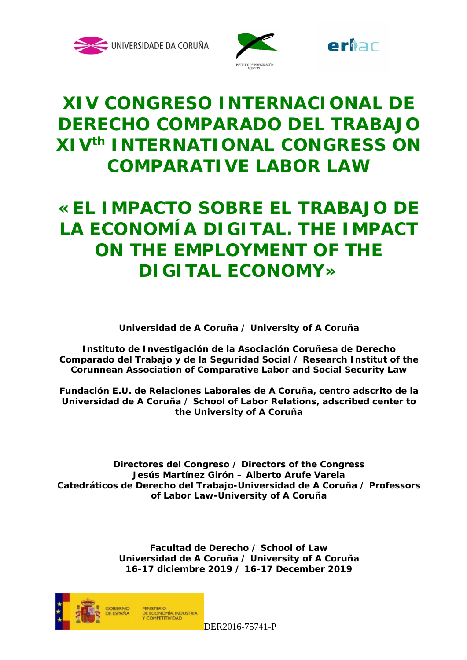





# **XIV CONGRESO INTERNACIONAL DE DERECHO COMPARADO DEL TRABAJO XIVth INTERNATIONAL CONGRESS ON COMPARATIVE LABOR LAW**

# **«EL IMPACTO SOBRE EL TRABAJO DE LA ECONOMÍA DIGITAL. THE IMPACT ON THE EMPLOYMENT OF THE DIGITAL ECONOMY»**

**Universidad de A Coruña / University of A Coruña**

**Instituto de Investigación de la Asociación Coruñesa de Derecho Comparado del Trabajo y de la Seguridad Social / Research Institut of the Corunnean Association of Comparative Labor and Social Security Law**

**Fundación E.U. de Relaciones Laborales de A Coruña, centro adscrito de la Universidad de A Coruña / School of Labor Relations, adscribed center to the University of A Coruña**

**Directores del Congreso / Directors of the Congress Jesús Martínez Girón – Alberto Arufe Varela Catedráticos de Derecho del Trabajo-Universidad de A Coruña / Professors of Labor Law-University of A Coruña**

> **Facultad de Derecho / School of Law Universidad de A Coruña / University of A Coruña 16-17 diciembre 2019 / 16-17 December 2019**



DER2016-75741-P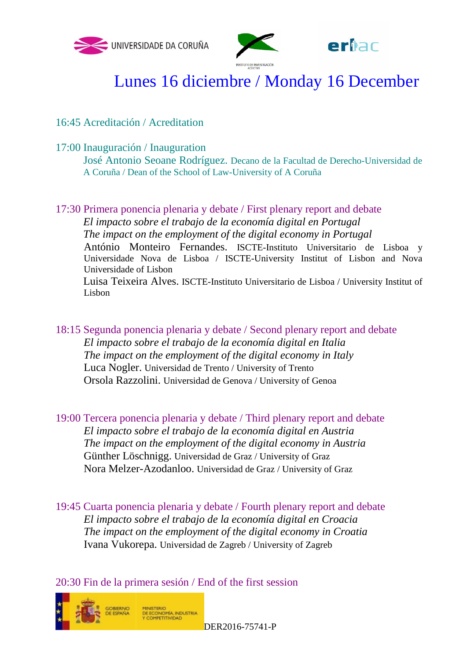



erhac

# Lunes 16 diciembre / Monday 16 December

16:45 Acreditación / Acreditation

17:00 Inauguración / Inauguration

José Antonio Seoane Rodríguez. Decano de la Facultad de Derecho-Universidad de A Coruña / Dean of the School of Law-University of A Coruña

17:30 Primera ponencia plenaria y debate / First plenary report and debate *El impacto sobre el trabajo de la economía digital en Portugal The impact on the employment of the digital economy in Portugal* António Monteiro Fernandes. ISCTE-Instituto Universitario de Lisboa y Universidade Nova de Lisboa / ISCTE-University Institut of Lisbon and Nova Universidade of Lisbon Luisa Teixeira Alves. ISCTE-Instituto Universitario de Lisboa / University Institut of Lisbon

18:15 Segunda ponencia plenaria y debate / Second plenary report and debate *El impacto sobre el trabajo de la economía digital en Italia The impact on the employment of the digital economy in Italy* Luca Nogler. Universidad de Trento / University of Trento Orsola Razzolini. Universidad de Genova / University of Genoa

19:00 Tercera ponencia plenaria y debate / Third plenary report and debate *El impacto sobre el trabajo de la economía digital en Austria The impact on the employment of the digital economy in Austria* Günther Löschnigg. Universidad de Graz / University of Graz Nora Melzer-Azodanloo. Universidad de Graz / University of Graz

19:45 Cuarta ponencia plenaria y debate / Fourth plenary report and debate *El impacto sobre el trabajo de la economía digital en Croacia The impact on the employment of the digital economy in Croatia* Ivana Vukorepa. Universidad de Zagreb / University of Zagreb

20:30 Fin de la primera sesión / End of the first session

PIINISTERIO<br>DE ECONOMÍA, INDUSTRIA<br>Y COMPETITIVIDAD